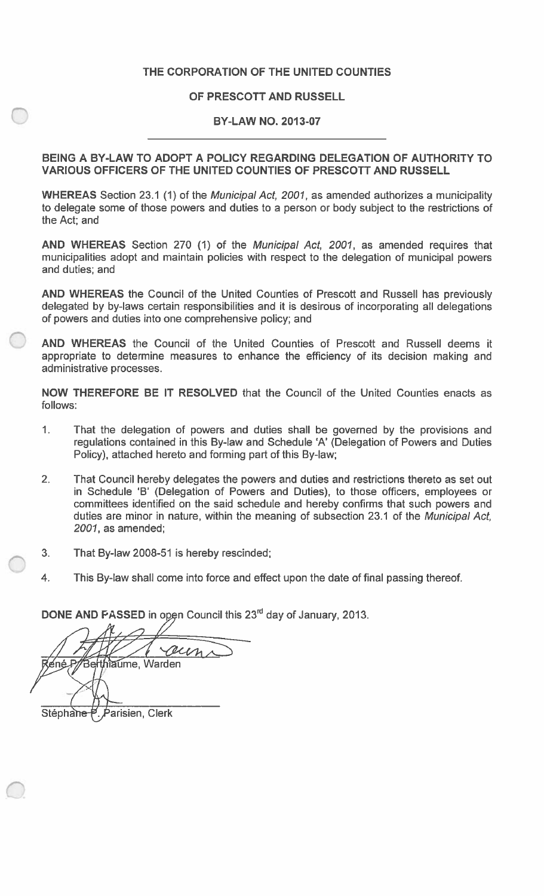## **THE CORPORATION OF THE UNITED COUNTIES**

#### **OF PRESCOTT AND RUSSELL**

#### **BY-LAW NO. 2013-07**

#### **BEING A BY-LAW TO ADOPT A POLICY REGARDING DELEGATION OF AUTHORITY TO VARIOUS OFFICERS OF THE UNITED COUNTIES OF PRESCOTT AND RUSSELL**

**WHEREAS** Section **23.1 (1)** of the *Municipal Act, 2001,* as amended authorizes a municipality to delegate some of those powers and duties to a person or body subject to the restrictions of the Act; and

**AND WHEREAS** Section **270 (1)** of the *Municipal Act, 2001,* as amended requires that municipalities adopt and maintain policies with respect to the delegation of municipal powers and duties; and

**AND WHEREAS** the Council of the United Counties of Prescott and Russell has previously delegated by by-laws certain responsibilities and it is desirous of incorporating all delegations of powers and duties into one comprehensive policy; and

**AND WHEREAS** the Council of the United Counties of Prescott and Russell deems it appropriate to determine measures to enhance the efficiency of its decision making and administrative processes.

**NOW THEREFORE BE IT RESOLVED** that the Council of the United Counties enacts as follows:

- **1.** That the delegation of powers and duties shall be governed by the provisions and regulations contained in this By-law and Schedule 'A' (Delegation of Powers and Duties Policy), attached hereto and forming part of this By-law;
- That Council hereby delegates the powers and duties and restrictions thereto as set out in Schedule 'B' (Delegation of Powers and Duties), to those officers, employees or committees identified on the said schedule and hereby confirms that such powers and duties are minor in nature, within the meaning of subsection 23.1 of the *Municipal Act, 2001,* as amended; 2**.**
- 3. That By-law 2008-51 is hereby rescinded;
- **4.** This By-law shall come into force and effect upon the date of final passing thereof.

**DONE AND PASSED** in open Council this **23rd** day of January, **2013.**

*A*  ne P/Berthlaume, Warden /

Stéphane P. Parisien, Clerk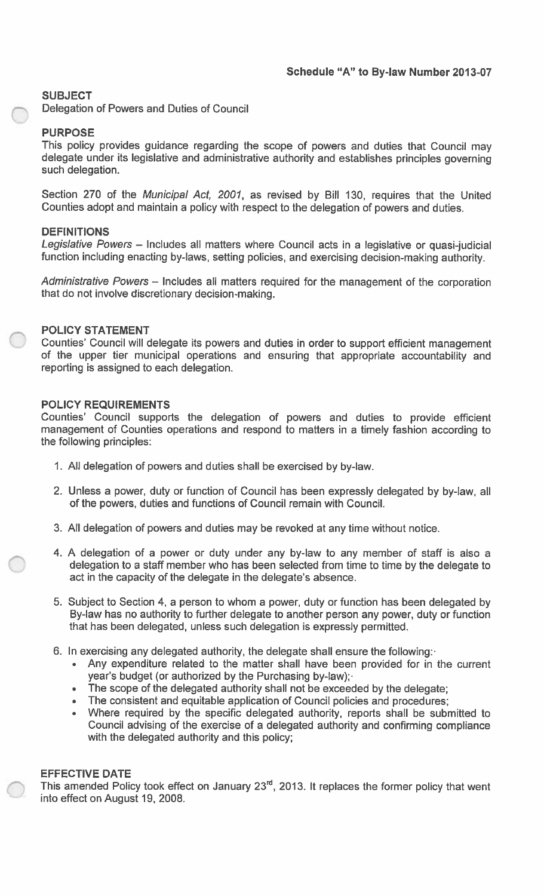## **SUBJECT**

Delegation of Powers and Duties of Council

## **PURPOSE**

This policy provides guidance regarding the scope of powers and duties that Council may delegate under its legislative and administrative authority and establishes principles governing such delegation.

Section 270 of the *Municipal Act, 2001,* as revised by Bill 130, requires that the United Counties adopt and maintain a policy with respect to the delegation of powers and duties.

### **DEFINITIONS**

DEFINITIONS<br>*Legislative Powers –* Includes all matters where Council acts in a legislative or quasi-judicial function including enacting by-laws, setting policies, and exercising decision-making authority.

Administrative Powers - Includes all matters required for the management of the corporation that do not involve discretionary decision-making.

### **POLICY STATEMENT**

Counties' Council will delegate its powers and duties in order to support efficient management of the upper tier municipal operations and ensuring that appropriate accountability and reporting is assigned to each delegation.

### **POLICY REQUIREMENTS**

Counties' Council supports the delegation of powers and duties to provide efficient management of Counties operations and respond to matters in a timely fashion according to the following principles:

- 1. All delegation of powers and duties shall be exercised by by-law.
- 2. Unless a power, duty or function of Council has been expressly delegated by by-law, all of the powers, duties and functions of Council remain with Council.
- 3. All delegation of powers and duties may be revoked at any time without notice.
- 4. <sup>A</sup> delegation of <sup>a</sup> power or duty under any by-law to any member of staff is also <sup>a</sup> delegation to a staff member who has been selected from time to time by the delegate to act in the capacity of the delegate in the delegate's absence.
- 5. Subject to Section 4, <sup>a</sup> person to whom <sup>a</sup> power, duty or function has been delegated by By-law has no authority to further delegate to another person any power, duty or function that has been delegated, unless such delegation is expressly permitted.
- 
- 6. In exercising any delegated authority, the delegate shall ensure the following:- Any expenditure related to the matter shall have been provided for in the current year's budget (or authorized by the Purchasing by-law);-
	- The scope of the delegated authority shall not be exceeded by the delegate;
	- The consistent and equitable application of Council policies and procedures;
	- Where required by the specific delegated authority, reports shall be submitted to Council advising of the exercise of a delegated authority and confirming compliance with the delegated authority and this policy;

#### **EFFECTIVE DATE**

This amended Policy took effect on January 23<sup>rd</sup>, 2013. It replaces the former policy that went into effect on August 19, 2008.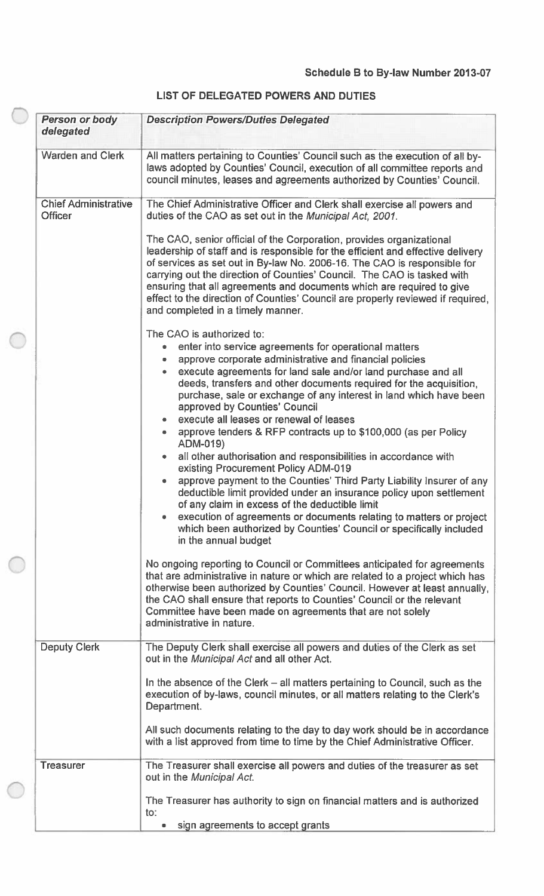# **LIST OF DELEGATED POWERS AND DUTIES**

| <b>Person or body</b><br>delegated            | <b>Description Powers/Duties Delegated</b>                                                                                                                                                                                                                                                                                                                                                                                                                                                                      |
|-----------------------------------------------|-----------------------------------------------------------------------------------------------------------------------------------------------------------------------------------------------------------------------------------------------------------------------------------------------------------------------------------------------------------------------------------------------------------------------------------------------------------------------------------------------------------------|
| <b>Warden and Clerk</b>                       | All matters pertaining to Counties' Council such as the execution of all by-<br>laws adopted by Counties' Council, execution of all committee reports and<br>council minutes, leases and agreements authorized by Counties' Council.                                                                                                                                                                                                                                                                            |
| <b>Chief Administrative</b><br><b>Officer</b> | The Chief Administrative Officer and Clerk shall exercise all powers and<br>duties of the CAO as set out in the Municipal Act, 2001.                                                                                                                                                                                                                                                                                                                                                                            |
|                                               | The CAO, senior official of the Corporation, provides organizational<br>leadership of staff and is responsible for the efficient and effective delivery<br>of services as set out in By-law No. 2006-16. The CAO is responsible for<br>carrying out the direction of Counties' Council. The CAO is tasked with<br>ensuring that all agreements and documents which are required to give<br>effect to the direction of Counties' Council are properly reviewed if required,<br>and completed in a timely manner. |
|                                               | The CAO is authorized to:<br>enter into service agreements for operational matters<br>$\bullet$<br>approve corporate administrative and financial policies<br>$\bullet$<br>execute agreements for land sale and/or land purchase and all<br>deeds, transfers and other documents required for the acquisition,<br>purchase, sale or exchange of any interest in land which have been<br>approved by Counties' Council<br>execute all leases or renewal of leases                                                |
|                                               | approve tenders & RFP contracts up to \$100,000 (as per Policy<br>۰<br>ADM-019)<br>all other authorisation and responsibilities in accordance with<br>۰<br>existing Procurement Policy ADM-019<br>approve payment to the Counties' Third Party Liability Insurer of any<br>$\bullet$                                                                                                                                                                                                                            |
|                                               | deductible limit provided under an insurance policy upon settlement<br>of any claim in excess of the deductible limit<br>execution of agreements or documents relating to matters or project<br>which been authorized by Counties' Council or specifically included<br>in the annual budget                                                                                                                                                                                                                     |
|                                               | No ongoing reporting to Council or Committees anticipated for agreements<br>that are administrative in nature or which are related to a project which has<br>otherwise been authorized by Counties' Council. However at least annually,<br>the CAO shall ensure that reports to Counties' Council or the relevant<br>Committee have been made on agreements that are not solely<br>administrative in nature.                                                                                                    |
| <b>Deputy Clerk</b>                           | The Deputy Clerk shall exercise all powers and duties of the Clerk as set<br>out in the Municipal Act and all other Act.                                                                                                                                                                                                                                                                                                                                                                                        |
|                                               | In the absence of the Clerk – all matters pertaining to Council, such as the<br>execution of by-laws, council minutes, or all matters relating to the Clerk's<br>Department.                                                                                                                                                                                                                                                                                                                                    |
|                                               | All such documents relating to the day to day work should be in accordance<br>with a list approved from time to time by the Chief Administrative Officer.                                                                                                                                                                                                                                                                                                                                                       |
| <b>Treasurer</b>                              | The Treasurer shall exercise all powers and duties of the treasurer as set<br>out in the Municipal Act.                                                                                                                                                                                                                                                                                                                                                                                                         |
|                                               | The Treasurer has authority to sign on financial matters and is authorized<br>to:                                                                                                                                                                                                                                                                                                                                                                                                                               |
|                                               | sign agreements to accept grants                                                                                                                                                                                                                                                                                                                                                                                                                                                                                |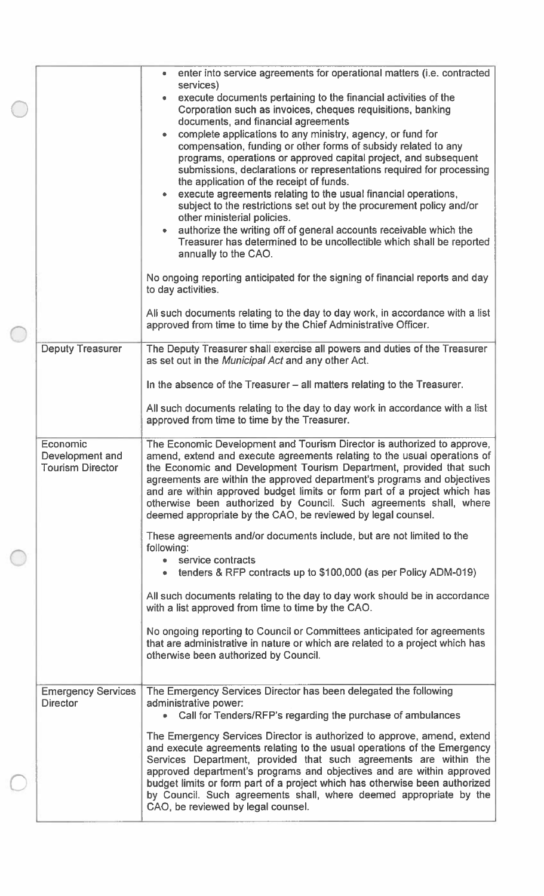|                                                        | enter into service agreements for operational matters (i.e. contracted<br>services)<br>execute documents pertaining to the financial activities of the<br>Corporation such as invoices, cheques requisitions, banking<br>documents, and financial agreements<br>complete applications to any ministry, agency, or fund for<br>compensation, funding or other forms of subsidy related to any<br>programs, operations or approved capital project, and subsequent<br>submissions, declarations or representations required for processing<br>the application of the receipt of funds.<br>execute agreements relating to the usual financial operations,<br>subject to the restrictions set out by the procurement policy and/or<br>other ministerial policies.<br>authorize the writing off of general accounts receivable which the<br>Treasurer has determined to be uncollectible which shall be reported<br>annually to the CAO. |
|--------------------------------------------------------|-------------------------------------------------------------------------------------------------------------------------------------------------------------------------------------------------------------------------------------------------------------------------------------------------------------------------------------------------------------------------------------------------------------------------------------------------------------------------------------------------------------------------------------------------------------------------------------------------------------------------------------------------------------------------------------------------------------------------------------------------------------------------------------------------------------------------------------------------------------------------------------------------------------------------------------|
|                                                        | No ongoing reporting anticipated for the signing of financial reports and day<br>to day activities.<br>All such documents relating to the day to day work, in accordance with a list<br>approved from time to time by the Chief Administrative Officer.                                                                                                                                                                                                                                                                                                                                                                                                                                                                                                                                                                                                                                                                             |
| <b>Deputy Treasurer</b>                                | The Deputy Treasurer shall exercise all powers and duties of the Treasurer<br>as set out in the <i>Municipal Act</i> and any other Act.                                                                                                                                                                                                                                                                                                                                                                                                                                                                                                                                                                                                                                                                                                                                                                                             |
|                                                        | In the absence of the Treasurer - all matters relating to the Treasurer.                                                                                                                                                                                                                                                                                                                                                                                                                                                                                                                                                                                                                                                                                                                                                                                                                                                            |
|                                                        | All such documents relating to the day to day work in accordance with a list<br>approved from time to time by the Treasurer.                                                                                                                                                                                                                                                                                                                                                                                                                                                                                                                                                                                                                                                                                                                                                                                                        |
| Economic<br>Development and<br><b>Tourism Director</b> | The Economic Development and Tourism Director is authorized to approve,<br>amend, extend and execute agreements relating to the usual operations of<br>the Economic and Development Tourism Department, provided that such<br>agreements are within the approved department's programs and objectives<br>and are within approved budget limits or form part of a project which has<br>otherwise been authorized by Council. Such agreements shall, where<br>deemed appropriate by the CAO, be reviewed by legal counsel.                                                                                                                                                                                                                                                                                                                                                                                                            |
|                                                        | These agreements and/or documents include, but are not limited to the<br>following:<br>service contracts<br>tenders & RFP contracts up to \$100,000 (as per Policy ADM-019)                                                                                                                                                                                                                                                                                                                                                                                                                                                                                                                                                                                                                                                                                                                                                         |
|                                                        | All such documents relating to the day to day work should be in accordance<br>with a list approved from time to time by the CAO.                                                                                                                                                                                                                                                                                                                                                                                                                                                                                                                                                                                                                                                                                                                                                                                                    |
|                                                        | No ongoing reporting to Council or Committees anticipated for agreements<br>that are administrative in nature or which are related to a project which has<br>otherwise been authorized by Council.                                                                                                                                                                                                                                                                                                                                                                                                                                                                                                                                                                                                                                                                                                                                  |
| <b>Emergency Services</b><br><b>Director</b>           | The Emergency Services Director has been delegated the following<br>administrative power:                                                                                                                                                                                                                                                                                                                                                                                                                                                                                                                                                                                                                                                                                                                                                                                                                                           |
|                                                        | • Call for Tenders/RFP's regarding the purchase of ambulances                                                                                                                                                                                                                                                                                                                                                                                                                                                                                                                                                                                                                                                                                                                                                                                                                                                                       |
|                                                        | The Emergency Services Director is authorized to approve, amend, extend<br>and execute agreements relating to the usual operations of the Emergency<br>Services Department, provided that such agreements are within the<br>approved department's programs and objectives and are within approved<br>budget limits or form part of a project which has otherwise been authorized<br>by Council. Such agreements shall, where deemed appropriate by the<br>CAO, be reviewed by legal counsel.                                                                                                                                                                                                                                                                                                                                                                                                                                        |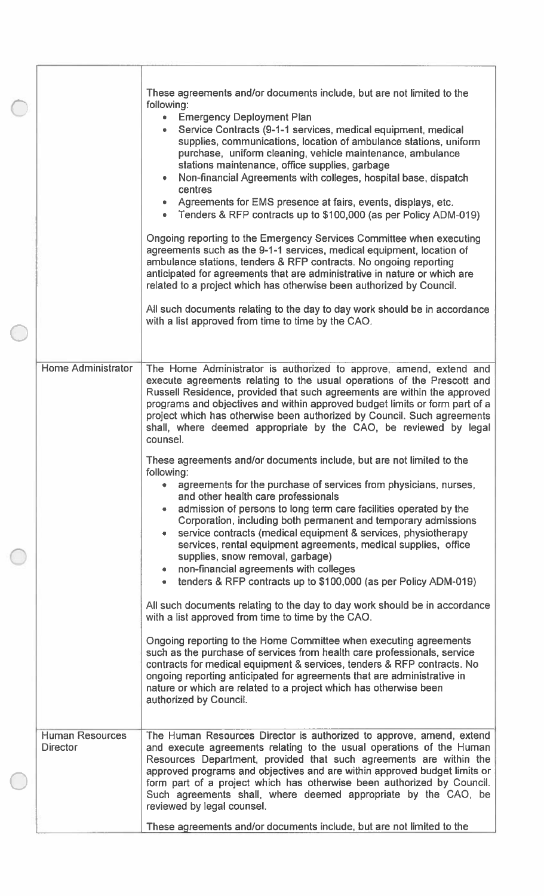|                                           | These agreements and/or documents include, but are not limited to the<br>following:<br><b>Emergency Deployment Plan</b><br>$\bullet$<br>Service Contracts (9-1-1 services, medical equipment, medical<br>supplies, communications, location of ambulance stations, uniform<br>purchase, uniform cleaning, vehicle maintenance, ambulance<br>stations maintenance, office supplies, garbage<br>Non-financial Agreements with colleges, hospital base, dispatch<br>centres<br>Agreements for EMS presence at fairs, events, displays, etc.<br>• Tenders & RFP contracts up to \$100,000 (as per Policy ADM-019)                                          |
|-------------------------------------------|--------------------------------------------------------------------------------------------------------------------------------------------------------------------------------------------------------------------------------------------------------------------------------------------------------------------------------------------------------------------------------------------------------------------------------------------------------------------------------------------------------------------------------------------------------------------------------------------------------------------------------------------------------|
|                                           | Ongoing reporting to the Emergency Services Committee when executing<br>agreements such as the 9-1-1 services, medical equipment, location of<br>ambulance stations, tenders & RFP contracts. No ongoing reporting<br>anticipated for agreements that are administrative in nature or which are<br>related to a project which has otherwise been authorized by Council.<br>All such documents relating to the day to day work should be in accordance<br>with a list approved from time to time by the CAO.                                                                                                                                            |
|                                           |                                                                                                                                                                                                                                                                                                                                                                                                                                                                                                                                                                                                                                                        |
| <b>Home Administrator</b>                 | The Home Administrator is authorized to approve, amend, extend and<br>execute agreements relating to the usual operations of the Prescott and<br>Russell Residence, provided that such agreements are within the approved<br>programs and objectives and within approved budget limits or form part of a<br>project which has otherwise been authorized by Council. Such agreements<br>shall, where deemed appropriate by the CAO, be reviewed by legal<br>counsel.                                                                                                                                                                                    |
|                                           | These agreements and/or documents include, but are not limited to the<br>following:<br>agreements for the purchase of services from physicians, nurses,<br>and other health care professionals<br>admission of persons to long term care facilities operated by the<br>Corporation, including both permanent and temporary admissions<br>service contracts (medical equipment & services, physiotherapy<br>services, rental equipment agreements, medical supplies, office<br>supplies, snow removal, garbage)<br>non-financial agreements with colleges<br>tenders & RFP contracts up to \$100,000 (as per Policy ADM-019)<br>$\qquad \qquad \bullet$ |
|                                           | All such documents relating to the day to day work should be in accordance<br>with a list approved from time to time by the CAO.<br>Ongoing reporting to the Home Committee when executing agreements<br>such as the purchase of services from health care professionals, service<br>contracts for medical equipment & services, tenders & RFP contracts. No<br>ongoing reporting anticipated for agreements that are administrative in<br>nature or which are related to a project which has otherwise been<br>authorized by Council.                                                                                                                 |
| <b>Human Resources</b><br><b>Director</b> | The Human Resources Director is authorized to approve, amend, extend<br>and execute agreements relating to the usual operations of the Human<br>Resources Department, provided that such agreements are within the<br>approved programs and objectives and are within approved budget limits or<br>form part of a project which has otherwise been authorized by Council.<br>Such agreements shall, where deemed appropriate by the CAO, be<br>reviewed by legal counsel.<br>These agreements and/or documents include, but are not limited to the                                                                                                     |
|                                           |                                                                                                                                                                                                                                                                                                                                                                                                                                                                                                                                                                                                                                                        |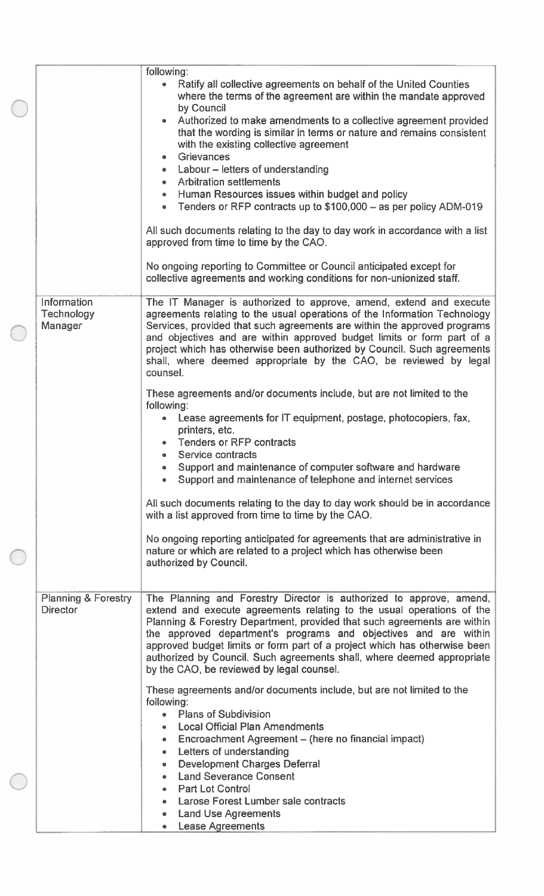|                                                   | following:<br>Ratify all collective agreements on behalf of the United Counties<br>$\bullet$<br>where the terms of the agreement are within the mandate approved<br>by Council<br>Authorized to make amendments to a collective agreement provided<br>that the wording is similar in terms or nature and remains consistent<br>with the existing collective agreement<br><b>Grievances</b><br>• Labour - letters of understanding<br><b>Arbitration settlements</b>                                    |
|---------------------------------------------------|--------------------------------------------------------------------------------------------------------------------------------------------------------------------------------------------------------------------------------------------------------------------------------------------------------------------------------------------------------------------------------------------------------------------------------------------------------------------------------------------------------|
|                                                   | Human Resources issues within budget and policy<br>$\bullet$ .<br>Tenders or RFP contracts up to \$100,000 - as per policy ADM-019<br>All such documents relating to the day to day work in accordance with a list<br>approved from time to time by the CAO.<br>No ongoing reporting to Committee or Council anticipated except for<br>collective agreements and working conditions for non-unionized staff.                                                                                           |
| Information<br><b>Technology</b><br>Manager       | The IT Manager is authorized to approve, amend, extend and execute<br>agreements relating to the usual operations of the Information Technology<br>Services, provided that such agreements are within the approved programs<br>and objectives and are within approved budget limits or form part of a<br>project which has otherwise been authorized by Council. Such agreements<br>shall, where deemed appropriate by the CAO, be reviewed by legal<br>counsel.                                       |
|                                                   | These agreements and/or documents include, but are not limited to the<br>following:<br>Lease agreements for IT equipment, postage, photocopiers, fax,<br>printers, etc.<br>Tenders or RFP contracts<br>Service contracts<br>Support and maintenance of computer software and hardware<br>Support and maintenance of telephone and internet services                                                                                                                                                    |
|                                                   | All such documents relating to the day to day work should be in accordance<br>with a list approved from time to time by the CAO.<br>No ongoing reporting anticipated for agreements that are administrative in                                                                                                                                                                                                                                                                                         |
|                                                   | nature or which are related to a project which has otherwise been<br>authorized by Council.                                                                                                                                                                                                                                                                                                                                                                                                            |
| <b>Planning &amp; Forestry</b><br><b>Director</b> | The Planning and Forestry Director is authorized to approve, amend,<br>extend and execute agreements relating to the usual operations of the<br>Planning & Forestry Department, provided that such agreements are within<br>the approved department's programs and objectives and are within<br>approved budget limits or form part of a project which has otherwise been<br>authorized by Council. Such agreements shall, where deemed appropriate<br>by the CAO, be reviewed by legal counsel.       |
|                                                   | These agreements and/or documents include, but are not limited to the<br>following:<br>• Plans of Subdivision<br><b>Local Official Plan Amendments</b><br>Encroachment Agreement - (here no financial impact)<br>$\bullet$<br>Letters of understanding<br>$\qquad \qquad \bullet$<br><b>Development Charges Deferral</b><br>۰<br><b>Land Severance Consent</b><br>$\bullet$<br><b>Part Lot Control</b><br>Larose Forest Lumber sale contracts<br><b>Land Use Agreements</b><br><b>Lease Agreements</b> |
|                                                   |                                                                                                                                                                                                                                                                                                                                                                                                                                                                                                        |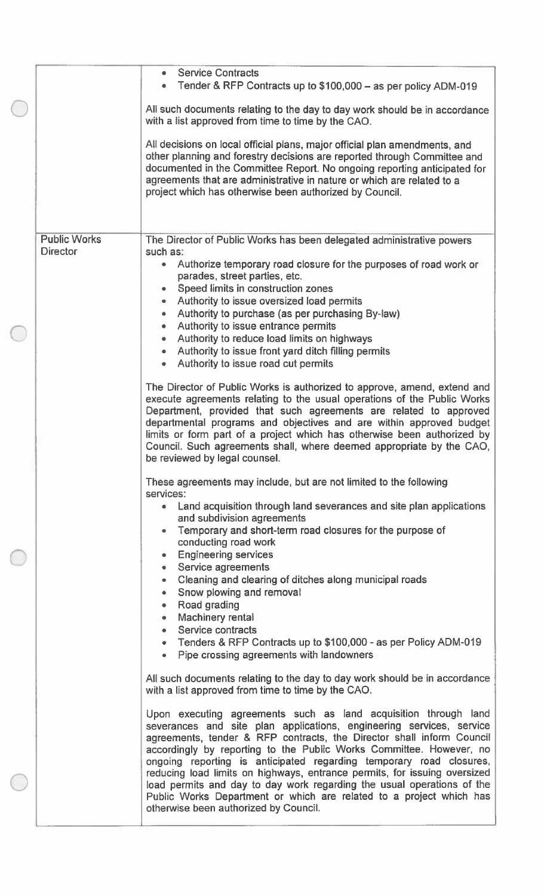|                     | <b>Service Contracts</b><br>$\bullet$<br>Tender & RFP Contracts up to \$100,000 - as per policy ADM-019                                                                                                                                                                                                                                                                                                                                                                                                                                                                                      |
|---------------------|----------------------------------------------------------------------------------------------------------------------------------------------------------------------------------------------------------------------------------------------------------------------------------------------------------------------------------------------------------------------------------------------------------------------------------------------------------------------------------------------------------------------------------------------------------------------------------------------|
|                     | All such documents relating to the day to day work should be in accordance<br>with a list approved from time to time by the CAO.                                                                                                                                                                                                                                                                                                                                                                                                                                                             |
|                     | All decisions on local official plans, major official plan amendments, and<br>other planning and forestry decisions are reported through Committee and<br>documented in the Committee Report. No ongoing reporting anticipated for<br>agreements that are administrative in nature or which are related to a<br>project which has otherwise been authorized by Council.                                                                                                                                                                                                                      |
| <b>Public Works</b> | The Director of Public Works has been delegated administrative powers                                                                                                                                                                                                                                                                                                                                                                                                                                                                                                                        |
| <b>Director</b>     | such as:<br>Authorize temporary road closure for the purposes of road work or<br>$\bullet$<br>parades, street parties, etc.<br>Speed limits in construction zones                                                                                                                                                                                                                                                                                                                                                                                                                            |
|                     | Authority to issue oversized load permits<br>۰                                                                                                                                                                                                                                                                                                                                                                                                                                                                                                                                               |
|                     | Authority to purchase (as per purchasing By-law)                                                                                                                                                                                                                                                                                                                                                                                                                                                                                                                                             |
|                     | Authority to issue entrance permits<br>$\bullet$                                                                                                                                                                                                                                                                                                                                                                                                                                                                                                                                             |
|                     | Authority to reduce load limits on highways<br>۰                                                                                                                                                                                                                                                                                                                                                                                                                                                                                                                                             |
|                     | Authority to issue front yard ditch filling permits                                                                                                                                                                                                                                                                                                                                                                                                                                                                                                                                          |
|                     | Authority to issue road cut permits<br>۰                                                                                                                                                                                                                                                                                                                                                                                                                                                                                                                                                     |
|                     | The Director of Public Works is authorized to approve, amend, extend and<br>execute agreements relating to the usual operations of the Public Works<br>Department, provided that such agreements are related to approved<br>departmental programs and objectives and are within approved budget<br>limits or form part of a project which has otherwise been authorized by<br>Council. Such agreements shall, where deemed appropriate by the CAO,<br>be reviewed by legal counsel.                                                                                                          |
|                     | These agreements may include, but are not limited to the following<br>services:                                                                                                                                                                                                                                                                                                                                                                                                                                                                                                              |
|                     | Land acquisition through land severances and site plan applications<br>and subdivision agreements                                                                                                                                                                                                                                                                                                                                                                                                                                                                                            |
|                     | Temporary and short-term road closures for the purpose of<br>conducting road work<br><b>Engineering services</b><br>۰                                                                                                                                                                                                                                                                                                                                                                                                                                                                        |
|                     | Service agreements                                                                                                                                                                                                                                                                                                                                                                                                                                                                                                                                                                           |
|                     | Cleaning and clearing of ditches along municipal roads<br>۰<br>Snow plowing and removal<br>۰<br>Road grading<br>۰                                                                                                                                                                                                                                                                                                                                                                                                                                                                            |
|                     | Machinery rental                                                                                                                                                                                                                                                                                                                                                                                                                                                                                                                                                                             |
|                     | Service contracts                                                                                                                                                                                                                                                                                                                                                                                                                                                                                                                                                                            |
|                     | Tenders & RFP Contracts up to \$100,000 - as per Policy ADM-019<br>Pipe crossing agreements with landowners<br>$\bullet$                                                                                                                                                                                                                                                                                                                                                                                                                                                                     |
|                     | All such documents relating to the day to day work should be in accordance<br>with a list approved from time to time by the CAO.                                                                                                                                                                                                                                                                                                                                                                                                                                                             |
|                     | Upon executing agreements such as land acquisition through land<br>severances and site plan applications, engineering services, service<br>agreements, tender & RFP contracts, the Director shall inform Council<br>accordingly by reporting to the Public Works Committee. However, no<br>ongoing reporting is anticipated regarding temporary road closures,<br>reducing load limits on highways, entrance permits, for issuing oversized<br>load permits and day to day work regarding the usual operations of the<br>Public Works Department or which are related to a project which has |
|                     | otherwise been authorized by Council.                                                                                                                                                                                                                                                                                                                                                                                                                                                                                                                                                        |